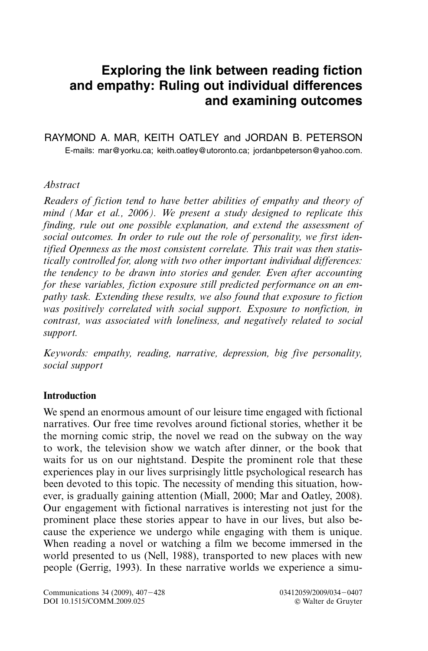# **Exploring the link between reading fiction and empathy: Ruling out individual differences and examining outcomes**

RAYMOND A. MAR, KEITH OATLEY and JORDAN B. PETERSON E-mails: mar@yorku.ca; keith.oatley@utoronto.ca; jordanbpeterson@yahoo.com.

# *Abstract*

*Readers of fiction tend to have better abilities of empathy and theory of mind (Mar et al., 2006). We present a study designed to replicate this finding, rule out one possible explanation, and extend the assessment of social outcomes. In order to rule out the role of personality, we first identified Openness as the most consistent correlate. This trait was then statistically controlled for, along with two other important individual differences: the tendency to be drawn into stories and gender. Even after accounting for these variables, fiction exposure still predicted performance on an empathy task. Extending these results, we also found that exposure to fiction was positively correlated with social support. Exposure to nonfiction, in contrast, was associated with loneliness, and negatively related to social support.*

*Keywords: empathy, reading, narrative, depression, big five personality, social support*

# **Introduction**

We spend an enormous amount of our leisure time engaged with fictional narratives. Our free time revolves around fictional stories, whether it be the morning comic strip, the novel we read on the subway on the way to work, the television show we watch after dinner, or the book that waits for us on our nightstand. Despite the prominent role that these experiences play in our lives surprisingly little psychological research has been devoted to this topic. The necessity of mending this situation, however, is gradually gaining attention (Miall, 2000; Mar and Oatley, 2008). Our engagement with fictional narratives is interesting not just for the prominent place these stories appear to have in our lives, but also because the experience we undergo while engaging with them is unique. When reading a novel or watching a film we become immersed in the world presented to us (Nell, 1988), transported to new places with new people (Gerrig, 1993). In these narrative worlds we experience a simu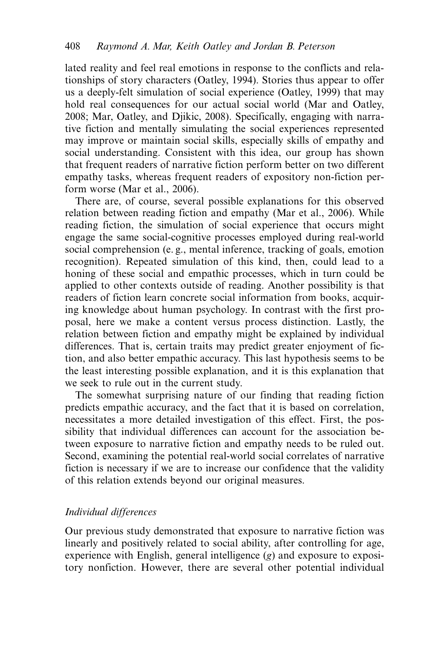lated reality and feel real emotions in response to the conflicts and relationships of story characters (Oatley, 1994). Stories thus appear to offer us a deeply-felt simulation of social experience (Oatley, 1999) that may hold real consequences for our actual social world (Mar and Oatley, 2008; Mar, Oatley, and Djikic, 2008). Specifically, engaging with narrative fiction and mentally simulating the social experiences represented may improve or maintain social skills, especially skills of empathy and social understanding. Consistent with this idea, our group has shown that frequent readers of narrative fiction perform better on two different empathy tasks, whereas frequent readers of expository non-fiction perform worse (Mar et al., 2006).

There are, of course, several possible explanations for this observed relation between reading fiction and empathy (Mar et al., 2006). While reading fiction, the simulation of social experience that occurs might engage the same social-cognitive processes employed during real-world social comprehension (e. g., mental inference, tracking of goals, emotion recognition). Repeated simulation of this kind, then, could lead to a honing of these social and empathic processes, which in turn could be applied to other contexts outside of reading. Another possibility is that readers of fiction learn concrete social information from books, acquiring knowledge about human psychology. In contrast with the first proposal, here we make a content versus process distinction. Lastly, the relation between fiction and empathy might be explained by individual differences. That is, certain traits may predict greater enjoyment of fiction, and also better empathic accuracy. This last hypothesis seems to be the least interesting possible explanation, and it is this explanation that we seek to rule out in the current study.

The somewhat surprising nature of our finding that reading fiction predicts empathic accuracy, and the fact that it is based on correlation, necessitates a more detailed investigation of this effect. First, the possibility that individual differences can account for the association between exposure to narrative fiction and empathy needs to be ruled out. Second, examining the potential real-world social correlates of narrative fiction is necessary if we are to increase our confidence that the validity of this relation extends beyond our original measures.

## *Individual differences*

Our previous study demonstrated that exposure to narrative fiction was linearly and positively related to social ability, after controlling for age, experience with English, general intelligence (*g*) and exposure to expository nonfiction. However, there are several other potential individual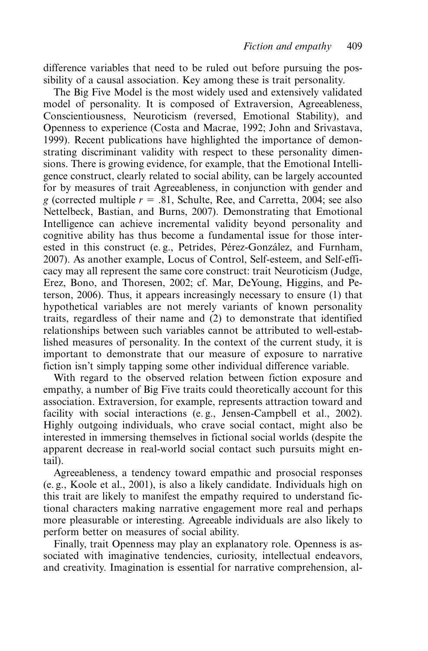difference variables that need to be ruled out before pursuing the possibility of a causal association. Key among these is trait personality.

The Big Five Model is the most widely used and extensively validated model of personality. It is composed of Extraversion, Agreeableness, Conscientiousness, Neuroticism (reversed, Emotional Stability), and Openness to experience (Costa and Macrae, 1992; John and Srivastava, 1999). Recent publications have highlighted the importance of demonstrating discriminant validity with respect to these personality dimensions. There is growing evidence, for example, that the Emotional Intelligence construct, clearly related to social ability, can be largely accounted for by measures of trait Agreeableness, in conjunction with gender and *g* (corrected multiple  $r = .81$ , Schulte, Ree, and Carretta, 2004; see also Nettelbeck, Bastian, and Burns, 2007). Demonstrating that Emotional Intelligence can achieve incremental validity beyond personality and cognitive ability has thus become a fundamental issue for those interested in this construct (e.g., Petrides, Pérez-González, and Furnham, 2007). As another example, Locus of Control, Self-esteem, and Self-efficacy may all represent the same core construct: trait Neuroticism (Judge, Erez, Bono, and Thoresen, 2002; cf. Mar, DeYoung, Higgins, and Peterson, 2006). Thus, it appears increasingly necessary to ensure (1) that hypothetical variables are not merely variants of known personality traits, regardless of their name and (2) to demonstrate that identified relationships between such variables cannot be attributed to well-established measures of personality. In the context of the current study, it is important to demonstrate that our measure of exposure to narrative fiction isn't simply tapping some other individual difference variable.

With regard to the observed relation between fiction exposure and empathy, a number of Big Five traits could theoretically account for this association. Extraversion, for example, represents attraction toward and facility with social interactions (e.g., Jensen-Campbell et al., 2002). Highly outgoing individuals, who crave social contact, might also be interested in immersing themselves in fictional social worlds (despite the apparent decrease in real-world social contact such pursuits might entail).

Agreeableness, a tendency toward empathic and prosocial responses (e. g., Koole et al., 2001), is also a likely candidate. Individuals high on this trait are likely to manifest the empathy required to understand fictional characters making narrative engagement more real and perhaps more pleasurable or interesting. Agreeable individuals are also likely to perform better on measures of social ability.

Finally, trait Openness may play an explanatory role. Openness is associated with imaginative tendencies, curiosity, intellectual endeavors, and creativity. Imagination is essential for narrative comprehension, al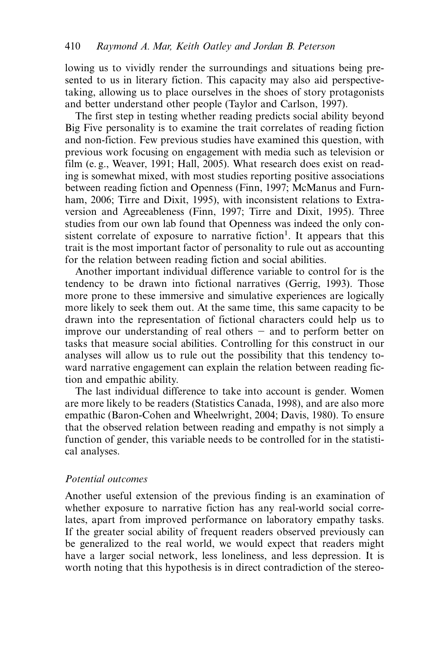lowing us to vividly render the surroundings and situations being presented to us in literary fiction. This capacity may also aid perspectivetaking, allowing us to place ourselves in the shoes of story protagonists and better understand other people (Taylor and Carlson, 1997).

The first step in testing whether reading predicts social ability beyond Big Five personality is to examine the trait correlates of reading fiction and non-fiction. Few previous studies have examined this question, with previous work focusing on engagement with media such as television or film (e. g., Weaver, 1991; Hall, 2005). What research does exist on reading is somewhat mixed, with most studies reporting positive associations between reading fiction and Openness (Finn, 1997; McManus and Furnham, 2006; Tirre and Dixit, 1995), with inconsistent relations to Extraversion and Agreeableness (Finn, 1997; Tirre and Dixit, 1995). Three studies from our own lab found that Openness was indeed the only consistent correlate of exposure to narrative fiction<sup>1</sup>. It appears that this trait is the most important factor of personality to rule out as accounting for the relation between reading fiction and social abilities.

Another important individual difference variable to control for is the tendency to be drawn into fictional narratives (Gerrig, 1993). Those more prone to these immersive and simulative experiences are logically more likely to seek them out. At the same time, this same capacity to be drawn into the representation of fictional characters could help us to improve our understanding of real others  $-$  and to perform better on tasks that measure social abilities. Controlling for this construct in our analyses will allow us to rule out the possibility that this tendency toward narrative engagement can explain the relation between reading fiction and empathic ability.

The last individual difference to take into account is gender. Women are more likely to be readers (Statistics Canada, 1998), and are also more empathic (Baron-Cohen and Wheelwright, 2004; Davis, 1980). To ensure that the observed relation between reading and empathy is not simply a function of gender, this variable needs to be controlled for in the statistical analyses.

## *Potential outcomes*

Another useful extension of the previous finding is an examination of whether exposure to narrative fiction has any real-world social correlates, apart from improved performance on laboratory empathy tasks. If the greater social ability of frequent readers observed previously can be generalized to the real world, we would expect that readers might have a larger social network, less loneliness, and less depression. It is worth noting that this hypothesis is in direct contradiction of the stereo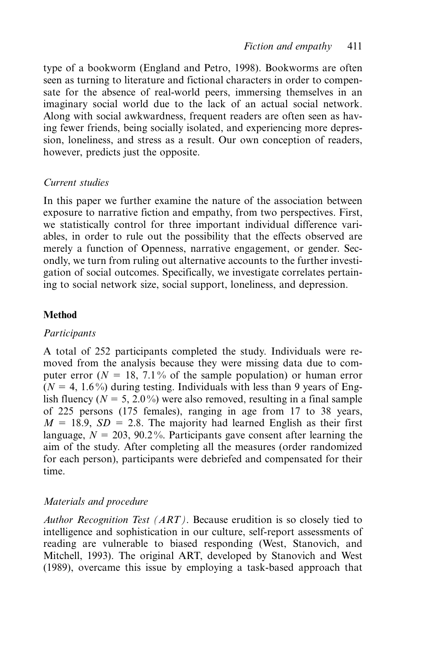type of a bookworm (England and Petro, 1998). Bookworms are often seen as turning to literature and fictional characters in order to compensate for the absence of real-world peers, immersing themselves in an imaginary social world due to the lack of an actual social network. Along with social awkwardness, frequent readers are often seen as having fewer friends, being socially isolated, and experiencing more depression, loneliness, and stress as a result. Our own conception of readers, however, predicts just the opposite.

#### *Current studies*

In this paper we further examine the nature of the association between exposure to narrative fiction and empathy, from two perspectives. First, we statistically control for three important individual difference variables, in order to rule out the possibility that the effects observed are merely a function of Openness, narrative engagement, or gender. Secondly, we turn from ruling out alternative accounts to the further investigation of social outcomes. Specifically, we investigate correlates pertaining to social network size, social support, loneliness, and depression.

## **Method**

## *Participants*

A total of 252 participants completed the study. Individuals were removed from the analysis because they were missing data due to computer error  $(N = 18, 7.1\%$  of the sample population) or human error  $(N = 4, 1.6\%)$  during testing. Individuals with less than 9 years of English fluency ( $N = 5$ , 2.0%) were also removed, resulting in a final sample of 225 persons (175 females), ranging in age from 17 to 38 years,  $M = 18.9$ ,  $SD = 2.8$ . The majority had learned English as their first language,  $N = 203, 90.2\%$ . Participants gave consent after learning the aim of the study. After completing all the measures (order randomized for each person), participants were debriefed and compensated for their time.

## *Materials and procedure*

*Author Recognition Test (ART)*. Because erudition is so closely tied to intelligence and sophistication in our culture, self-report assessments of reading are vulnerable to biased responding (West, Stanovich, and Mitchell, 1993). The original ART, developed by Stanovich and West (1989), overcame this issue by employing a task-based approach that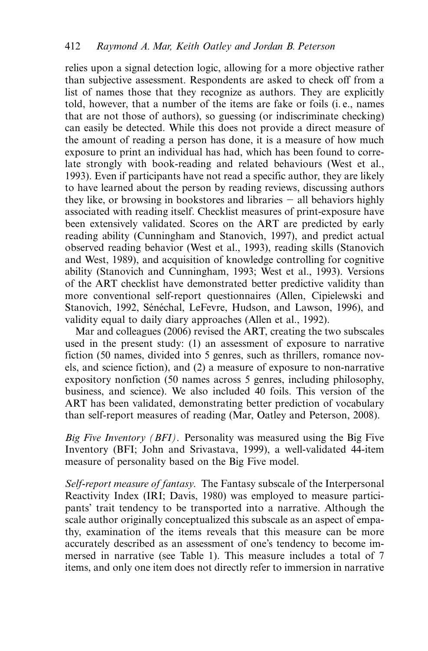relies upon a signal detection logic, allowing for a more objective rather than subjective assessment. Respondents are asked to check off from a list of names those that they recognize as authors. They are explicitly told, however, that a number of the items are fake or foils (i. e., names that are not those of authors), so guessing (or indiscriminate checking) can easily be detected. While this does not provide a direct measure of the amount of reading a person has done, it is a measure of how much exposure to print an individual has had, which has been found to correlate strongly with book-reading and related behaviours (West et al., 1993). Even if participants have not read a specific author, they are likely to have learned about the person by reading reviews, discussing authors they like, or browsing in bookstores and libraries  $-$  all behaviors highly associated with reading itself. Checklist measures of print-exposure have been extensively validated. Scores on the ART are predicted by early reading ability (Cunningham and Stanovich, 1997), and predict actual observed reading behavior (West et al., 1993), reading skills (Stanovich and West, 1989), and acquisition of knowledge controlling for cognitive ability (Stanovich and Cunningham, 1993; West et al., 1993). Versions of the ART checklist have demonstrated better predictive validity than more conventional self-report questionnaires (Allen, Cipielewski and Stanovich, 1992, Sénéchal, LeFevre, Hudson, and Lawson, 1996), and validity equal to daily diary approaches (Allen et al., 1992).

Mar and colleagues (2006) revised the ART, creating the two subscales used in the present study: (1) an assessment of exposure to narrative fiction (50 names, divided into 5 genres, such as thrillers, romance novels, and science fiction), and (2) a measure of exposure to non-narrative expository nonfiction (50 names across 5 genres, including philosophy, business, and science). We also included 40 foils. This version of the ART has been validated, demonstrating better prediction of vocabulary than self-report measures of reading (Mar, Oatley and Peterson, 2008).

*Big Five Inventory (BFI)*. Personality was measured using the Big Five Inventory (BFI; John and Srivastava, 1999), a well-validated 44-item measure of personality based on the Big Five model.

*Self-report measure of fantasy*. The Fantasy subscale of the Interpersonal Reactivity Index (IRI; Davis, 1980) was employed to measure participants' trait tendency to be transported into a narrative. Although the scale author originally conceptualized this subscale as an aspect of empathy, examination of the items reveals that this measure can be more accurately described as an assessment of one's tendency to become immersed in narrative (see Table 1). This measure includes a total of 7 items, and only one item does not directly refer to immersion in narrative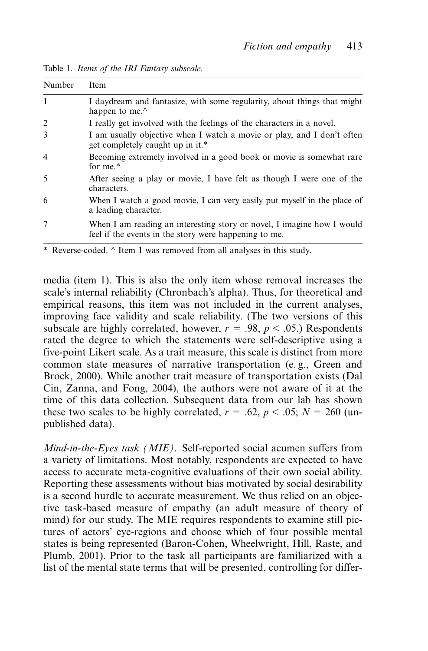| Number         | Item                                                                                                                            |
|----------------|---------------------------------------------------------------------------------------------------------------------------------|
| 1              | I daydream and fantasize, with some regularity, about things that might<br>happen to me. <sup><math>\land</math></sup>          |
| 2              | I really get involved with the feelings of the characters in a novel.                                                           |
| 3              | I am usually objective when I watch a movie or play, and I don't often<br>get completely caught up in it.*                      |
| $\overline{4}$ | Becoming extremely involved in a good book or movie is somewhat rare<br>for me. $*$                                             |
| 5              | After seeing a play or movie, I have felt as though I were one of the<br>characters.                                            |
| 6              | When I watch a good movie, I can very easily put myself in the place of<br>a leading character.                                 |
| 7              | When I am reading an interesting story or novel, I imagine how I would<br>feel if the events in the story were happening to me. |

Table 1. *Items of the IRI Fantasy subscale.*

\* Reverse-coded. ∧ Item 1 was removed from all analyses in this study.

media (item 1). This is also the only item whose removal increases the scale's internal reliability (Chronbach's alpha). Thus, for theoretical and empirical reasons, this item was not included in the current analyses, improving face validity and scale reliability. (The two versions of this subscale are highly correlated, however,  $r = .98$ ,  $p < .05$ .) Respondents rated the degree to which the statements were self-descriptive using a five-point Likert scale. As a trait measure, this scale is distinct from more common state measures of narrative transportation (e. g., Green and Brock, 2000). While another trait measure of transportation exists (Dal Cin, Zanna, and Fong, 2004), the authors were not aware of it at the time of this data collection. Subsequent data from our lab has shown these two scales to be highly correlated,  $r = .62$ ,  $p < .05$ ;  $N = 260$  (unpublished data).

*Mind-in-the-Eyes task (MIE)*. Self-reported social acumen suffers from a variety of limitations. Most notably, respondents are expected to have access to accurate meta-cognitive evaluations of their own social ability. Reporting these assessments without bias motivated by social desirability is a second hurdle to accurate measurement. We thus relied on an objective task-based measure of empathy (an adult measure of theory of mind) for our study. The MIE requires respondents to examine still pictures of actors' eye-regions and choose which of four possible mental states is being represented (Baron-Cohen, Wheelwright, Hill, Raste, and Plumb, 2001). Prior to the task all participants are familiarized with a list of the mental state terms that will be presented, controlling for differ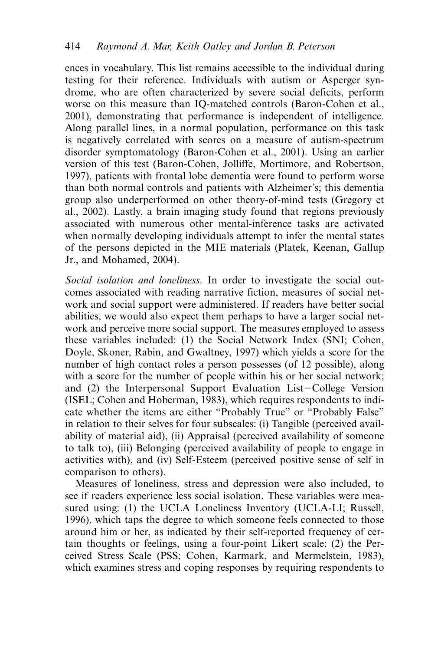ences in vocabulary. This list remains accessible to the individual during testing for their reference. Individuals with autism or Asperger syndrome, who are often characterized by severe social deficits, perform worse on this measure than IQ-matched controls (Baron-Cohen et al., 2001), demonstrating that performance is independent of intelligence. Along parallel lines, in a normal population, performance on this task is negatively correlated with scores on a measure of autism-spectrum disorder symptomatology (Baron-Cohen et al., 2001). Using an earlier version of this test (Baron-Cohen, Jolliffe, Mortimore, and Robertson, 1997), patients with frontal lobe dementia were found to perform worse than both normal controls and patients with Alzheimer's; this dementia group also underperformed on other theory-of-mind tests (Gregory et al., 2002). Lastly, a brain imaging study found that regions previously associated with numerous other mental-inference tasks are activated when normally developing individuals attempt to infer the mental states of the persons depicted in the MIE materials (Platek, Keenan, Gallup Jr., and Mohamed, 2004).

*Social isolation and loneliness*. In order to investigate the social outcomes associated with reading narrative fiction, measures of social network and social support were administered. If readers have better social abilities, we would also expect them perhaps to have a larger social network and perceive more social support. The measures employed to assess these variables included: (1) the Social Network Index (SNI; Cohen, Doyle, Skoner, Rabin, and Gwaltney, 1997) which yields a score for the number of high contact roles a person possesses (of 12 possible), along with a score for the number of people within his or her social network; and (2) the Interpersonal Support Evaluation List-College Version (ISEL; Cohen and Hoberman, 1983), which requires respondents to indicate whether the items are either "Probably True" or "Probably False" in relation to their selves for four subscales: (i) Tangible (perceived availability of material aid), (ii) Appraisal (perceived availability of someone to talk to), (iii) Belonging (perceived availability of people to engage in activities with), and (iv) Self-Esteem (perceived positive sense of self in comparison to others).

Measures of loneliness, stress and depression were also included, to see if readers experience less social isolation. These variables were measured using: (1) the UCLA Loneliness Inventory (UCLA-LI; Russell, 1996), which taps the degree to which someone feels connected to those around him or her, as indicated by their self-reported frequency of certain thoughts or feelings, using a four-point Likert scale; (2) the Perceived Stress Scale (PSS; Cohen, Karmark, and Mermelstein, 1983), which examines stress and coping responses by requiring respondents to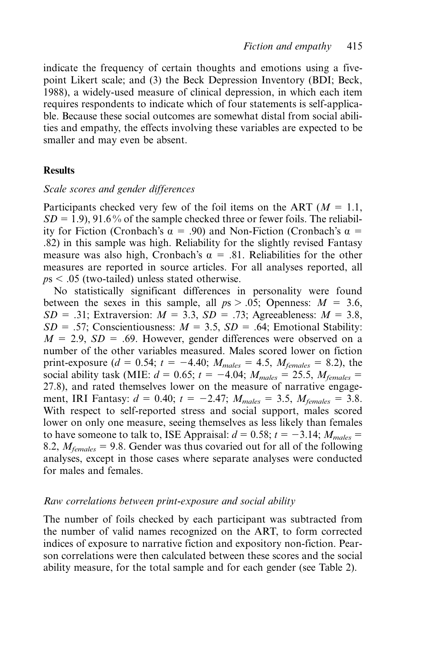indicate the frequency of certain thoughts and emotions using a fivepoint Likert scale; and (3) the Beck Depression Inventory (BDI; Beck, 1988), a widely-used measure of clinical depression, in which each item requires respondents to indicate which of four statements is self-applicable. Because these social outcomes are somewhat distal from social abilities and empathy, the effects involving these variables are expected to be smaller and may even be absent.

#### **Results**

#### *Scale scores and gender differences*

Participants checked very few of the foil items on the ART  $(M = 1.1,$  $SD = 1.9$ , 91.6% of the sample checked three or fewer foils. The reliability for Fiction (Cronbach's  $\alpha$  = .90) and Non-Fiction (Cronbach's  $\alpha$  = .82) in this sample was high. Reliability for the slightly revised Fantasy measure was also high, Cronbach's  $\alpha = .81$ . Reliabilities for the other measures are reported in source articles. For all analyses reported, all *p*s < .05 (two-tailed) unless stated otherwise.

No statistically significant differences in personality were found between the sexes in this sample, all  $ps > .05$ ; Openness:  $M = 3.6$ ,  $SD = .31$ ; Extraversion:  $M = 3.3$ ,  $SD = .73$ ; Agreeableness:  $M = 3.8$ ,  $SD = .57$ ; Conscientiousness:  $M = 3.5$ ,  $SD = .64$ ; Emotional Stability:  $M = 2.9$ ,  $SD = .69$ . However, gender differences were observed on a number of the other variables measured. Males scored lower on fiction print-exposure ( $d = 0.54$ ;  $t = -4.40$ ;  $M_{males} = 4.5$ ,  $M_{females} = 8.2$ ), the social ability task (MIE:  $d = 0.65$ ;  $t = -4.04$ ;  $M_{males} = 25.5$ ,  $M_{females} =$ 27.8), and rated themselves lower on the measure of narrative engagement, IRI Fantasy:  $d = 0.40$ ;  $t = -2.47$ ;  $M_{males} = 3.5$ ,  $M_{females} = 3.8$ . With respect to self-reported stress and social support, males scored lower on only one measure, seeing themselves as less likely than females to have someone to talk to, ISE Appraisal:  $d = 0.58$ ;  $t = -3.14$ ;  $M_{males} =$ 8.2,  $M_{females} = 9.8$ . Gender was thus covaried out for all of the following analyses, except in those cases where separate analyses were conducted for males and females.

#### *Raw correlations between print-exposure and social ability*

The number of foils checked by each participant was subtracted from the number of valid names recognized on the ART, to form corrected indices of exposure to narrative fiction and expository non-fiction. Pearson correlations were then calculated between these scores and the social ability measure, for the total sample and for each gender (see Table 2).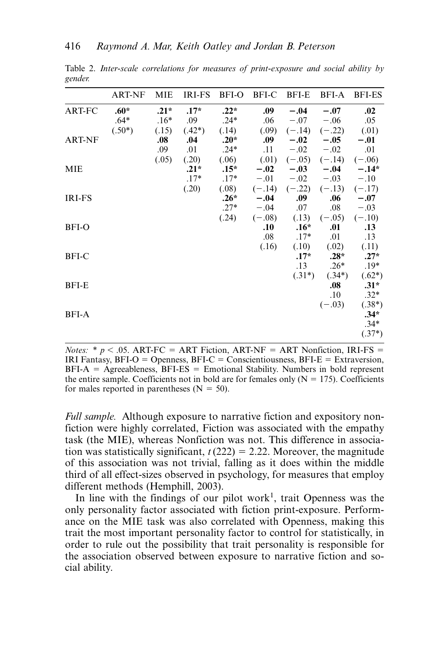|               | <b>ART-NF</b> | MIE    | IRI-FS    | <b>BFI-O</b> | BFI-C    | BFI-E                      | BFI-A             | <b>BFI-ES</b> |
|---------------|---------------|--------|-----------|--------------|----------|----------------------------|-------------------|---------------|
| <b>ART-FC</b> | $.60*$        | $.21*$ | $.17*$    | $.22*$       | .09      | $-.04$                     | $-.07$            | .02           |
|               | $.64*$        | $.16*$ | .09       | $.24*$       | .06      | $-.07$                     | $-.06$            | .05           |
|               | $(.50*)$      | (.15)  | $(.42^*)$ | (.14)        | (.09)    | $(-.14)$                   | $(-.22)$          | (.01)         |
| <b>ART-NF</b> |               | .08    | .04       | $.20*$       | .09      | $-.02 - .05$               |                   | $-.01$        |
|               |               | .09    | .01       | $.24*$       | .11      | $-.02$                     | $-.02$            | .01           |
|               |               | (.05)  | (.20)     | (.06)        | (.01)    |                            | $(-.05)$ $(-.14)$ | $(-.06)$      |
| <b>MIE</b>    |               |        | $.21*$    | $.15*$       | $-.02$   | $-.03 - .04$               |                   | $-.14*$       |
|               |               |        | $.17*$    | $.17*$       | $-.01$   | $-.02 - .03$               |                   | $-.10$        |
|               |               |        | (.20)     | (.08)        |          | $(-.14)$ $(-.22)$ $(-.13)$ |                   | $(-.17)$      |
| IRI-FS        |               |        |           | $.26*$       | $-.04$   | .09                        | .06               | $-.07$        |
|               |               |        |           | $.27*$       | $-.04$   | .07                        | $.08\,$           | $-.03$        |
|               |               |        |           | (.24)        | $(-.08)$ | (.13)                      | $(-.05)$          | $(-.10)$      |
| <b>BFI-O</b>  |               |        |           |              | .10      | $.16*$                     | .01               | .13           |
|               |               |        |           |              | .08      | $.17*$                     | .01               | .13           |
|               |               |        |           |              | (.16)    | (.10)                      | (.02)             | (.11)         |
| <b>BFI-C</b>  |               |        |           |              |          | $.17*$                     | $.28*$            | $.27*$        |
|               |               |        |           |              |          | .13                        | $.26*$            | $.19*$        |
|               |               |        |           |              |          | $(.31*)$                   | $(.34*)$          | $(.62*)$      |
| BFI-E         |               |        |           |              |          |                            | .08               | $.31*$        |
|               |               |        |           |              |          |                            | .10               | $.32*$        |
|               |               |        |           |              |          |                            | $(-.03)$          | $(.38*)$      |
| <b>BFI-A</b>  |               |        |           |              |          |                            |                   | $.34*$        |
|               |               |        |           |              |          |                            |                   | $.34*$        |
|               |               |        |           |              |          |                            |                   | $(.37*)$      |

Table 2. *Inter-scale correlations for measures of print-exposure and social ability by gender.*

*Notes:*  $* p < .05$ . ART-FC = ART Fiction, ART-NF = ART Nonfiction, IRI-FS = IRI Fantasy, BFI-O = Openness, BFI-C = Conscientiousness, BFI-E = Extraversion,  $BFI-A = \text{Agreeableness}, \text{BFI-ES} = \text{Emotional Stability}.$  Numbers in bold represent the entire sample. Coefficients not in bold are for females only  $(N = 175)$ . Coefficients for males reported in parentheses  $(N = 50)$ .

*Full sample.* Although exposure to narrative fiction and expository nonfiction were highly correlated, Fiction was associated with the empathy task (the MIE), whereas Nonfiction was not. This difference in association was statistically significant,  $t(222) = 2.22$ . Moreover, the magnitude of this association was not trivial, falling as it does within the middle third of all effect-sizes observed in psychology, for measures that employ different methods (Hemphill, 2003).

In line with the findings of our pilot work<sup>1</sup>, trait Openness was the only personality factor associated with fiction print-exposure. Performance on the MIE task was also correlated with Openness, making this trait the most important personality factor to control for statistically, in order to rule out the possibility that trait personality is responsible for the association observed between exposure to narrative fiction and social ability.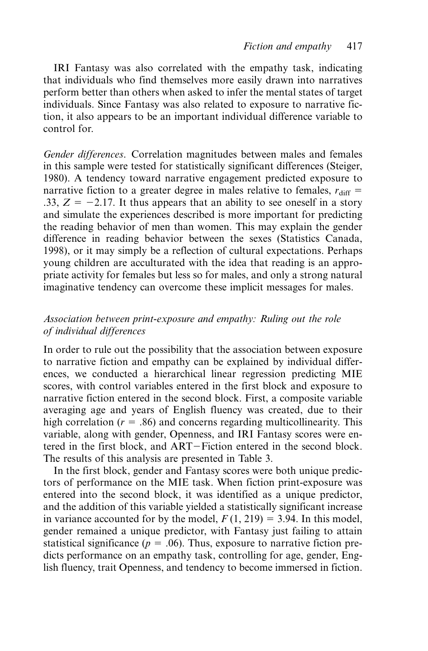IRI Fantasy was also correlated with the empathy task, indicating that individuals who find themselves more easily drawn into narratives perform better than others when asked to infer the mental states of target individuals. Since Fantasy was also related to exposure to narrative fiction, it also appears to be an important individual difference variable to control for.

*Gender differences*. Correlation magnitudes between males and females in this sample were tested for statistically significant differences (Steiger, 1980). A tendency toward narrative engagement predicted exposure to narrative fiction to a greater degree in males relative to females,  $r_{\text{diff}} =$ .33,  $Z = -2.17$ . It thus appears that an ability to see oneself in a story and simulate the experiences described is more important for predicting the reading behavior of men than women. This may explain the gender difference in reading behavior between the sexes (Statistics Canada, 1998), or it may simply be a reflection of cultural expectations. Perhaps young children are acculturated with the idea that reading is an appropriate activity for females but less so for males, and only a strong natural imaginative tendency can overcome these implicit messages for males.

# *Association between print-exposure and empathy: Ruling out the role of individual differences*

In order to rule out the possibility that the association between exposure to narrative fiction and empathy can be explained by individual differences, we conducted a hierarchical linear regression predicting MIE scores, with control variables entered in the first block and exposure to narrative fiction entered in the second block. First, a composite variable averaging age and years of English fluency was created, due to their high correlation  $(r = .86)$  and concerns regarding multicollinearity. This variable, along with gender, Openness, and IRI Fantasy scores were entered in the first block, and ART-Fiction entered in the second block. The results of this analysis are presented in Table 3.

In the first block, gender and Fantasy scores were both unique predictors of performance on the MIE task. When fiction print-exposure was entered into the second block, it was identified as a unique predictor, and the addition of this variable yielded a statistically significant increase in variance accounted for by the model,  $F(1, 219) = 3.94$ . In this model, gender remained a unique predictor, with Fantasy just failing to attain statistical significance ( $p = .06$ ). Thus, exposure to narrative fiction predicts performance on an empathy task, controlling for age, gender, English fluency, trait Openness, and tendency to become immersed in fiction.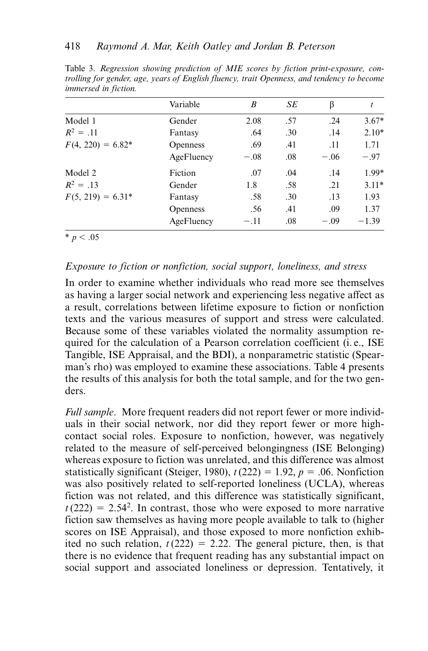|                     | Variable        | B      | SE  | β      | t       |
|---------------------|-----------------|--------|-----|--------|---------|
| Model 1             | Gender          | 2.08   | .57 | .24    | $3.67*$ |
| $R^2 = .11$         | Fantasy         | .64    | .30 | .14    | $2.10*$ |
| $F(4, 220) = 6.82*$ | <b>Openness</b> | .69    | .41 | .11    | 1.71    |
|                     | AgeFluency      | $-.08$ | .08 | $-.06$ | $-.97$  |
| Model 2             | Fiction         | .07    | .04 | .14    | 1.99*   |
| $R^2 = .13$         | Gender          | 1.8    | .58 | .21    | $3.11*$ |
| $F(5, 219) = 6.31*$ | Fantasy         | .58    | .30 | .13    | 1.93    |
|                     | Openness        | .56    | .41 | .09    | 1.37    |
|                     | AgeFluency      | $-.11$ | .08 | $-.09$ | $-1.39$ |
|                     |                 |        |     |        |         |

Table 3. *Regression showing prediction of MIE scores by fiction print-exposure, controlling for gender, age, years of English fluency, trait Openness, and tendency to become immersed in fiction.*

 $*$  *p* < .05

## *Exposure to fiction or nonfiction, social support, loneliness, and stress*

In order to examine whether individuals who read more see themselves as having a larger social network and experiencing less negative affect as a result, correlations between lifetime exposure to fiction or nonfiction texts and the various measures of support and stress were calculated. Because some of these variables violated the normality assumption required for the calculation of a Pearson correlation coefficient (i. e., ISE Tangible, ISE Appraisal, and the BDI), a nonparametric statistic (Spearman's rho) was employed to examine these associations. Table 4 presents the results of this analysis for both the total sample, and for the two genders.

*Full sample*. More frequent readers did not report fewer or more individuals in their social network, nor did they report fewer or more highcontact social roles. Exposure to nonfiction, however, was negatively related to the measure of self-perceived belongingness (ISE Belonging) whereas exposure to fiction was unrelated, and this difference was almost statistically significant (Steiger, 1980),  $t(222) = 1.92$ ,  $p = .06$ . Nonfiction was also positively related to self-reported loneliness (UCLA), whereas fiction was not related, and this difference was statistically significant,  $t(222) = 2.54<sup>2</sup>$ . In contrast, those who were exposed to more narrative fiction saw themselves as having more people available to talk to (higher scores on ISE Appraisal), and those exposed to more nonfiction exhibited no such relation,  $t(222) = 2.22$ . The general picture, then, is that there is no evidence that frequent reading has any substantial impact on social support and associated loneliness or depression. Tentatively, it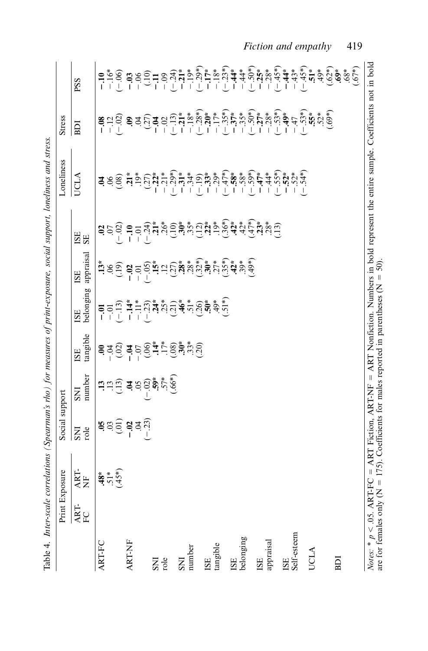|                     |            |                             |                                                                                                  |                                        |                                                      |                                                     |                            |                                   | Table 4. Inter-scale correlations (Spearman's rho) for measures of print-exposure, social support, loneliness and stress.                        |                                                                                                     |                                                                    |
|---------------------|------------|-----------------------------|--------------------------------------------------------------------------------------------------|----------------------------------------|------------------------------------------------------|-----------------------------------------------------|----------------------------|-----------------------------------|--------------------------------------------------------------------------------------------------------------------------------------------------|-----------------------------------------------------------------------------------------------------|--------------------------------------------------------------------|
|                     |            | Print Exposure              | Social:                                                                                          | support                                |                                                      |                                                     |                            |                                   | Loneliness                                                                                                                                       | Stress                                                                                              |                                                                    |
|                     | ART-<br>FC | ART-<br>NE                  | role<br><b>SNI</b>                                                                               | number<br><b>SNI</b>                   | tangible<br>ISE                                      | ISE                                                 | belonging appraisal<br>ISE | $\frac{\text{S}}{\text{S}}$       | UCLA                                                                                                                                             | ПŒ                                                                                                  | PSS                                                                |
| ART-FC              |            | $(45*)$<br>$\frac{48}{51*}$ | $\mathbf{\hat{s}}$ ອີງ                                                                           | (13)<br>$\ddot{13}$<br>$\overline{13}$ |                                                      | $-0$<br>=਼<br>−                                     | $\ddot{5}$                 | $(-02)$<br>$\ddot{a}$             | इ.अधु                                                                                                                                            | $(-.02)$<br>$-12$<br>$\frac{80}{1}$                                                                 | $-16*$<br>$-66$<br>$\frac{1}{1}$                                   |
| <b>ART-NF</b>       |            |                             | Ŕ.                                                                                               | 0 <sub>5</sub><br>$\tilde{a}$          | 33035                                                | $-11*$<br>$-14*$<br>$(-.13)$                        | $-0.2$<br>$-0.1$           |                                   | $\ddot{21}^*$<br>$\sum_{i=1}^{4}$                                                                                                                |                                                                                                     |                                                                    |
| role<br>ΣŠ          |            |                             | $(-.23)$                                                                                         | $59*$<br>(50)                          | $\begin{array}{c} 6 \\ 3 \\ 4 \\ 5 \\ 6 \end{array}$ | $\begin{array}{c} -23 \\ -24 \\ -25 \\ \end{array}$ | $-0.5$<br>$-1.2$           |                                   | $-22*$<br>$-21*$<br>(27)                                                                                                                         | 33.573                                                                                              | $\begin{array}{c} 38 \\ 0.6 \\ -1.6 \\ -1.6 \\ \hline \end{array}$ |
| number<br><b>NS</b> |            |                             |                                                                                                  | $(.66*)$                               | $\ddot{30}^*$<br>$33*$<br>(20)                       | $\ddot{ }$ .46*                                     | $.28*$<br>$.28*$<br>(27)   |                                   | $(-.29*)$<br>$-31*$<br>$-.34*$                                                                                                                   | $-21*$<br>$(-.13)$                                                                                  |                                                                    |
| tangible<br>ISE     |            |                             |                                                                                                  |                                        |                                                      | ົ້າ ອີ <b>້</b><br>$49*$                            | $32*$<br>$30*$<br>$77*$    |                                   | $(-19)$<br>$-33*$<br>$-0.29*$                                                                                                                    | $\begin{array}{r} -18^* \\ -28^* \\ -20^* \\ -17^* \\ -15^* \\ -35^* \\ -35^* \\ -35^* \end{array}$ |                                                                    |
| belonging<br>ISE    |            |                             |                                                                                                  |                                        |                                                      | $(31*)$                                             | $(.35*)$<br>$42*$<br>$39*$ | $(.36^{*})$<br>42*<br>$42*$       | $(-47*)$<br>$-58*$<br>$-.58*$                                                                                                                    |                                                                                                     |                                                                    |
| appraisal<br>ISE    |            |                             |                                                                                                  |                                        |                                                      |                                                     | $(49*)$                    | $(47*)$<br>$.3*$<br>$78*$<br>(13) | $(-.59*)$<br>$-47*$<br>$-44$                                                                                                                     | $(-.50*)$<br>$-27*$<br>$-.28*$                                                                      | $-44$                                                              |
| Self-esteem<br>ISE  |            |                             |                                                                                                  |                                        |                                                      |                                                     |                            |                                   | $(-.55*)$<br>$-52*$<br>$-.52*$                                                                                                                   | $(-.53*)$<br>$-49*$<br>$-47$                                                                        |                                                                    |
| UCLA                |            |                             |                                                                                                  |                                        |                                                      |                                                     |                            |                                   | $(-54*)$                                                                                                                                         | $(-.53*)$<br>$.55*$<br>$.52*$                                                                       | $-4\frac{3}{5}$<br>$-45\frac{1}{5}$<br>5.<br>$49*$                 |
| EQ                  |            |                             |                                                                                                  |                                        |                                                      |                                                     |                            |                                   |                                                                                                                                                  | $(.69*)$                                                                                            | $(.62*)$<br>$(67*)$<br>$69*$<br>$.68*$                             |
|                     |            |                             | are for females only ( $N = 175$ ). Coefficients for males reported in parentheses ( $N = 50$ ). |                                        |                                                      |                                                     |                            |                                   | <i>Notes:</i> * $p < .05$ . ART-FC = ART Fiction, ART-NF = ART Nonfiction. Numbers in bold represent the entire sample. Coefficients not in bold |                                                                                                     |                                                                    |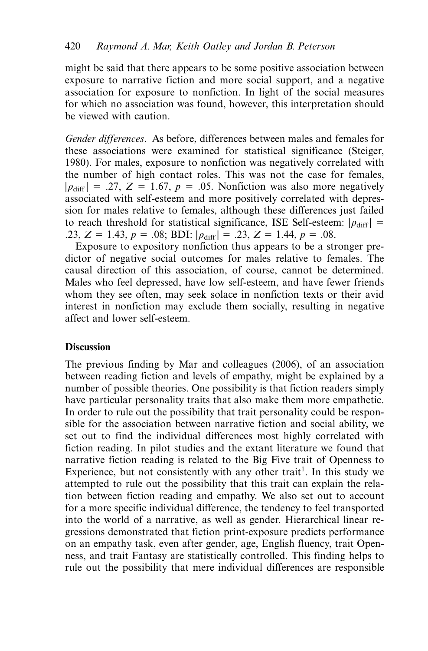might be said that there appears to be some positive association between exposure to narrative fiction and more social support, and a negative association for exposure to nonfiction. In light of the social measures for which no association was found, however, this interpretation should be viewed with caution.

*Gender differences*. As before, differences between males and females for these associations were examined for statistical significance (Steiger, 1980). For males, exposure to nonfiction was negatively correlated with the number of high contact roles. This was not the case for females,  $|\rho_{\text{diff}}| = .27$ ,  $Z = 1.67$ ,  $p = .05$ . Nonfiction was also more negatively associated with self-esteem and more positively correlated with depression for males relative to females, although these differences just failed to reach threshold for statistical significance, ISE Self-esteem:  $|\rho_{\text{diff}}|$  = .23,  $Z = 1.43$ ,  $p = .08$ ; BDI:  $|\rho_{\text{diff}}| = .23$ ,  $Z = 1.44$ ,  $p = .08$ .

Exposure to expository nonfiction thus appears to be a stronger predictor of negative social outcomes for males relative to females. The causal direction of this association, of course, cannot be determined. Males who feel depressed, have low self-esteem, and have fewer friends whom they see often, may seek solace in nonfiction texts or their avid interest in nonfiction may exclude them socially, resulting in negative affect and lower self-esteem.

# **Discussion**

The previous finding by Mar and colleagues (2006), of an association between reading fiction and levels of empathy, might be explained by a number of possible theories. One possibility is that fiction readers simply have particular personality traits that also make them more empathetic. In order to rule out the possibility that trait personality could be responsible for the association between narrative fiction and social ability, we set out to find the individual differences most highly correlated with fiction reading. In pilot studies and the extant literature we found that narrative fiction reading is related to the Big Five trait of Openness to Experience, but not consistently with any other trait<sup>1</sup>. In this study we attempted to rule out the possibility that this trait can explain the relation between fiction reading and empathy. We also set out to account for a more specific individual difference, the tendency to feel transported into the world of a narrative, as well as gender. Hierarchical linear regressions demonstrated that fiction print-exposure predicts performance on an empathy task, even after gender, age, English fluency, trait Openness, and trait Fantasy are statistically controlled. This finding helps to rule out the possibility that mere individual differences are responsible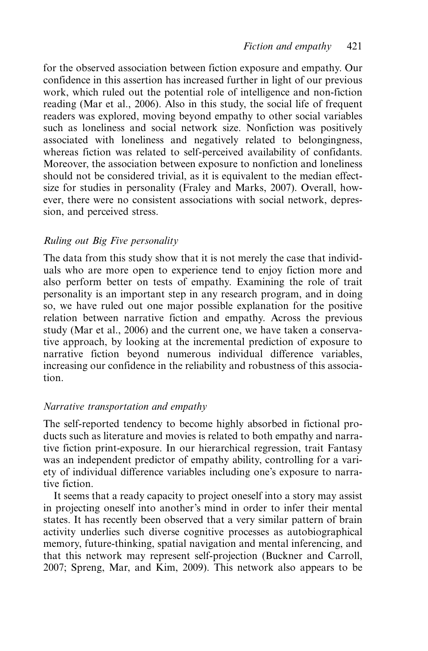for the observed association between fiction exposure and empathy. Our confidence in this assertion has increased further in light of our previous work, which ruled out the potential role of intelligence and non-fiction reading (Mar et al., 2006). Also in this study, the social life of frequent readers was explored, moving beyond empathy to other social variables such as loneliness and social network size. Nonfiction was positively associated with loneliness and negatively related to belongingness, whereas fiction was related to self-perceived availability of confidants. Moreover, the association between exposure to nonfiction and loneliness should not be considered trivial, as it is equivalent to the median effectsize for studies in personality (Fraley and Marks, 2007). Overall, however, there were no consistent associations with social network, depression, and perceived stress.

# *Ruling out Big Five personality*

The data from this study show that it is not merely the case that individuals who are more open to experience tend to enjoy fiction more and also perform better on tests of empathy. Examining the role of trait personality is an important step in any research program, and in doing so, we have ruled out one major possible explanation for the positive relation between narrative fiction and empathy. Across the previous study (Mar et al., 2006) and the current one, we have taken a conservative approach, by looking at the incremental prediction of exposure to narrative fiction beyond numerous individual difference variables, increasing our confidence in the reliability and robustness of this association.

## *Narrative transportation and empathy*

The self-reported tendency to become highly absorbed in fictional products such as literature and movies is related to both empathy and narrative fiction print-exposure. In our hierarchical regression, trait Fantasy was an independent predictor of empathy ability, controlling for a variety of individual difference variables including one's exposure to narrative fiction.

It seems that a ready capacity to project oneself into a story may assist in projecting oneself into another's mind in order to infer their mental states. It has recently been observed that a very similar pattern of brain activity underlies such diverse cognitive processes as autobiographical memory, future-thinking, spatial navigation and mental inferencing, and that this network may represent self-projection (Buckner and Carroll, 2007; Spreng, Mar, and Kim, 2009). This network also appears to be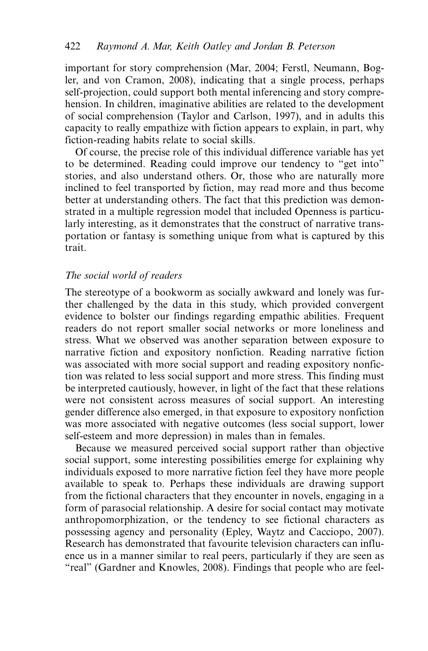important for story comprehension (Mar, 2004; Ferstl, Neumann, Bogler, and von Cramon, 2008), indicating that a single process, perhaps self-projection, could support both mental inferencing and story comprehension. In children, imaginative abilities are related to the development of social comprehension (Taylor and Carlson, 1997), and in adults this capacity to really empathize with fiction appears to explain, in part, why fiction-reading habits relate to social skills.

Of course, the precise role of this individual difference variable has yet to be determined. Reading could improve our tendency to "get into" stories, and also understand others. Or, those who are naturally more inclined to feel transported by fiction, may read more and thus become better at understanding others. The fact that this prediction was demonstrated in a multiple regression model that included Openness is particularly interesting, as it demonstrates that the construct of narrative transportation or fantasy is something unique from what is captured by this trait.

#### *The social world of readers*

The stereotype of a bookworm as socially awkward and lonely was further challenged by the data in this study, which provided convergent evidence to bolster our findings regarding empathic abilities. Frequent readers do not report smaller social networks or more loneliness and stress. What we observed was another separation between exposure to narrative fiction and expository nonfiction. Reading narrative fiction was associated with more social support and reading expository nonfiction was related to less social support and more stress. This finding must be interpreted cautiously, however, in light of the fact that these relations were not consistent across measures of social support. An interesting gender difference also emerged, in that exposure to expository nonfiction was more associated with negative outcomes (less social support, lower self-esteem and more depression) in males than in females.

Because we measured perceived social support rather than objective social support, some interesting possibilities emerge for explaining why individuals exposed to more narrative fiction feel they have more people available to speak to. Perhaps these individuals are drawing support from the fictional characters that they encounter in novels, engaging in a form of parasocial relationship. A desire for social contact may motivate anthropomorphization, or the tendency to see fictional characters as possessing agency and personality (Epley, Waytz and Cacciopo, 2007). Research has demonstrated that favourite television characters can influence us in a manner similar to real peers, particularly if they are seen as "real" (Gardner and Knowles, 2008). Findings that people who are feel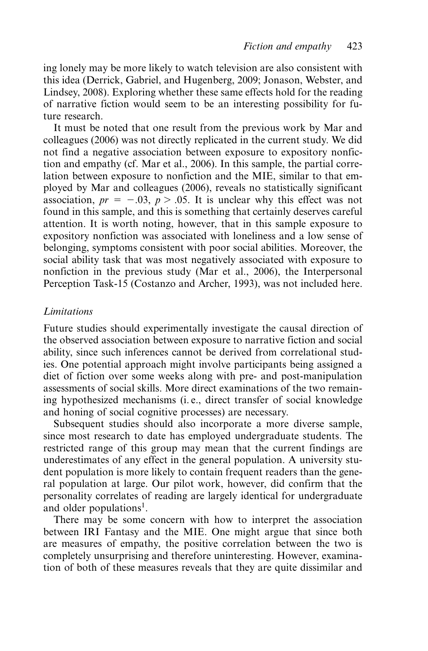ing lonely may be more likely to watch television are also consistent with this idea (Derrick, Gabriel, and Hugenberg, 2009; Jonason, Webster, and Lindsey, 2008). Exploring whether these same effects hold for the reading of narrative fiction would seem to be an interesting possibility for future research.

It must be noted that one result from the previous work by Mar and colleagues (2006) was not directly replicated in the current study. We did not find a negative association between exposure to expository nonfiction and empathy (cf. Mar et al., 2006). In this sample, the partial correlation between exposure to nonfiction and the MIE, similar to that employed by Mar and colleagues (2006), reveals no statistically significant association,  $pr = -.03$ ,  $p > .05$ . It is unclear why this effect was not found in this sample, and this is something that certainly deserves careful attention. It is worth noting, however, that in this sample exposure to expository nonfiction was associated with loneliness and a low sense of belonging, symptoms consistent with poor social abilities. Moreover, the social ability task that was most negatively associated with exposure to nonfiction in the previous study (Mar et al., 2006), the Interpersonal Perception Task-15 (Costanzo and Archer, 1993), was not included here.

## *Limitations*

Future studies should experimentally investigate the causal direction of the observed association between exposure to narrative fiction and social ability, since such inferences cannot be derived from correlational studies. One potential approach might involve participants being assigned a diet of fiction over some weeks along with pre- and post-manipulation assessments of social skills. More direct examinations of the two remaining hypothesized mechanisms (i. e., direct transfer of social knowledge and honing of social cognitive processes) are necessary.

Subsequent studies should also incorporate a more diverse sample, since most research to date has employed undergraduate students. The restricted range of this group may mean that the current findings are underestimates of any effect in the general population. A university student population is more likely to contain frequent readers than the general population at large. Our pilot work, however, did confirm that the personality correlates of reading are largely identical for undergraduate and older populations<sup>1</sup>.

There may be some concern with how to interpret the association between IRI Fantasy and the MIE. One might argue that since both are measures of empathy, the positive correlation between the two is completely unsurprising and therefore uninteresting. However, examination of both of these measures reveals that they are quite dissimilar and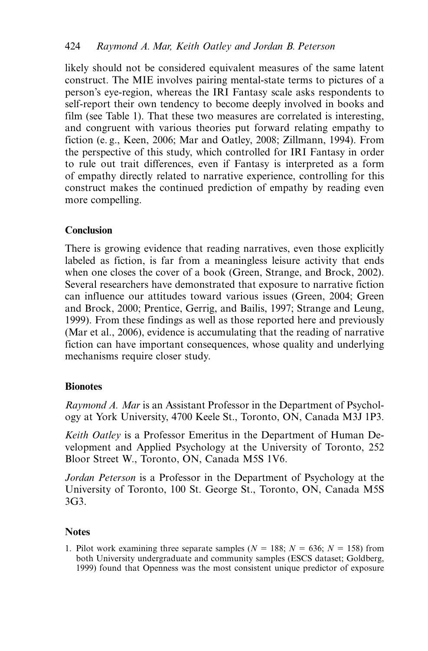likely should not be considered equivalent measures of the same latent construct. The MIE involves pairing mental-state terms to pictures of a person's eye-region, whereas the IRI Fantasy scale asks respondents to self-report their own tendency to become deeply involved in books and film (see Table 1). That these two measures are correlated is interesting, and congruent with various theories put forward relating empathy to fiction (e. g., Keen, 2006; Mar and Oatley, 2008; Zillmann, 1994). From the perspective of this study, which controlled for IRI Fantasy in order to rule out trait differences, even if Fantasy is interpreted as a form of empathy directly related to narrative experience, controlling for this construct makes the continued prediction of empathy by reading even more compelling.

# **Conclusion**

There is growing evidence that reading narratives, even those explicitly labeled as fiction, is far from a meaningless leisure activity that ends when one closes the cover of a book (Green, Strange, and Brock, 2002). Several researchers have demonstrated that exposure to narrative fiction can influence our attitudes toward various issues (Green, 2004; Green and Brock, 2000; Prentice, Gerrig, and Bailis, 1997; Strange and Leung, 1999). From these findings as well as those reported here and previously (Mar et al., 2006), evidence is accumulating that the reading of narrative fiction can have important consequences, whose quality and underlying mechanisms require closer study.

# **Bionotes**

*Raymond A. Mar* is an Assistant Professor in the Department of Psychology at York University, 4700 Keele St., Toronto, ON, Canada M3J 1P3.

*Keith Oatley* is a Professor Emeritus in the Department of Human Development and Applied Psychology at the University of Toronto, 252 Bloor Street W., Toronto, ON, Canada M5S 1V6.

*Jordan Peterson* is a Professor in the Department of Psychology at the University of Toronto, 100 St. George St., Toronto, ON, Canada M5S 3G3.

# **Notes**

1. Pilot work examining three separate samples  $(N = 188; N = 636; N = 158)$  from both University undergraduate and community samples (ESCS dataset; Goldberg, 1999) found that Openness was the most consistent unique predictor of exposure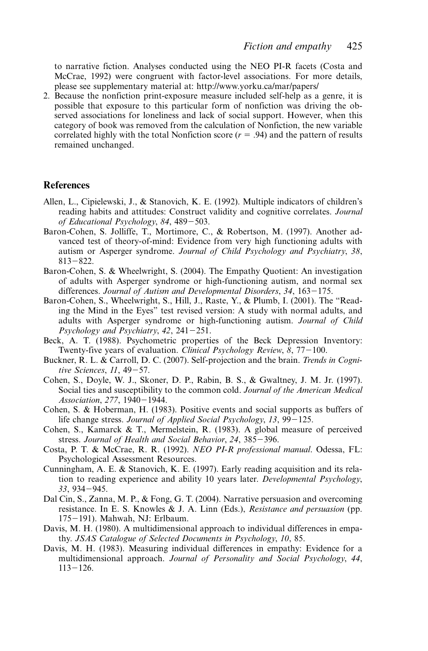to narrative fiction. Analyses conducted using the NEO PI-R facets (Costa and McCrae, 1992) were congruent with factor-level associations. For more details, please see supplementary material at: http://www.yorku.ca/mar/papers/

2. Because the nonfiction print-exposure measure included self-help as a genre, it is possible that exposure to this particular form of nonfiction was driving the observed associations for loneliness and lack of social support. However, when this category of book was removed from the calculation of Nonfiction, the new variable correlated highly with the total Nonfiction score  $(r = .94)$  and the pattern of results remained unchanged.

#### **References**

- Allen, L., Cipielewski, J., & Stanovich, K. E. (1992). Multiple indicators of children's reading habits and attitudes: Construct validity and cognitive correlates. *Journal of Educational Psychology*, *84*, 489-503.
- Baron-Cohen, S. Jolliffe, T., Mortimore, C., & Robertson, M. (1997). Another advanced test of theory-of-mind: Evidence from very high functioning adults with autism or Asperger syndrome. *Journal of Child Psychology and Psychiatry*, *38*, 813-822.
- Baron-Cohen, S. & Wheelwright, S. (2004). The Empathy Quotient: An investigation of adults with Asperger syndrome or high-functioning autism, and normal sex differences. *Journal of Autism and Developmental Disorders*, *34*, 163-175.
- Baron-Cohen, S., Wheelwright, S., Hill, J., Raste, Y., & Plumb, I. (2001). The "Reading the Mind in the Eyes" test revised version: A study with normal adults, and adults with Asperger syndrome or high-functioning autism. *Journal of Child Psychology and Psychiatry*, *42*, 241-251.
- Beck, A. T. (1988). Psychometric properties of the Beck Depression Inventory: Twenty-five years of evaluation. *Clinical Psychology Review*, *8*, 77-100.
- Buckner, R. L. & Carroll, D. C. (2007). Self-projection and the brain. *Trends in Cognitive Sciences*, *11*, 49-57.
- Cohen, S., Doyle, W. J., Skoner, D. P., Rabin, B. S., & Gwaltney, J. M. Jr. (1997). Social ties and susceptibility to the common cold. *Journal of the American Medical Association*, *277*, 1940-1944.
- Cohen, S. & Hoberman, H. (1983). Positive events and social supports as buffers of life change stress. *Journal of Applied Social Psychology*, *13*, 99-125.
- Cohen, S., Kamarck & T., Mermelstein, R. (1983). A global measure of perceived stress. *Journal of Health and Social Behavior*, *24*, 385-396.
- Costa, P. T. & McCrae, R. R. (1992). *NEO PI-R professional manual*. Odessa, FL: Psychological Assessment Resources.
- Cunningham, A. E. & Stanovich, K. E. (1997). Early reading acquisition and its relation to reading experience and ability 10 years later. *Developmental Psychology*, *33*, 934-945.
- Dal Cin, S., Zanna, M. P., & Fong, G. T. (2004). Narrative persuasion and overcoming resistance. In E. S. Knowles & J. A. Linn (Eds.), *Resistance and persuasion* (pp. 175-191). Mahwah, NJ: Erlbaum.
- Davis, M. H. (1980). A multidimensional approach to individual differences in empathy. *JSAS Catalogue of Selected Documents in Psychology*, *10*, 85.
- Davis, M. H. (1983). Measuring individual differences in empathy: Evidence for a multidimensional approach. *Journal of Personality and Social Psychology*, *44*,  $113 - 126$ .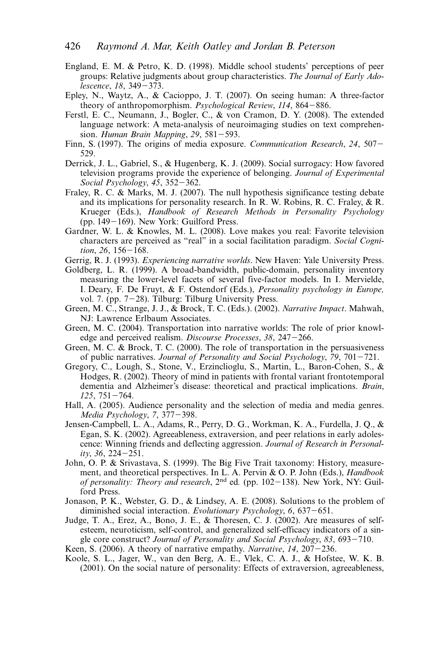- England, E. M. & Petro, K. D. (1998). Middle school students' perceptions of peer groups: Relative judgments about group characteristics. *The Journal of Early Adolescence*, *18*, 349-373.
- Epley, N., Waytz, A., & Cacioppo, J. T. (2007). On seeing human: A three-factor theory of anthropomorphism. *Psychological Review*, *114*, 864-886.
- Ferstl, E. C., Neumann, J., Bogler, C., & von Cramon, D. Y. (2008). The extended language network: A meta-analysis of neuroimaging studies on text comprehension. *Human Brain Mapping*, *29*, 581-593.
- Finn, S. (1997). The origins of media exposure. *Communication Research*, *24*, 507- 529.
- Derrick, J. L., Gabriel, S., & Hugenberg, K. J. (2009). Social surrogacy: How favored television programs provide the experience of belonging. *Journal of Experimental Social Psychology*, *45*, 352-362.
- Fraley, R. C. & Marks, M. J. (2007). The null hypothesis significance testing debate and its implications for personality research. In R. W. Robins, R. C. Fraley, & R. Krueger (Eds.), *Handbook of Research Methods in Personality Psychology* (pp. 149-169). New York: Guilford Press.
- Gardner, W. L. & Knowles, M. L. (2008). Love makes you real: Favorite television characters are perceived as "real" in a social facilitation paradigm. *Social Cognition*, *26*, 156-168.
- Gerrig, R. J. (1993). *Experiencing narrative worlds*. New Haven: Yale University Press.
- Goldberg, L. R. (1999). A broad-bandwidth, public-domain, personality inventory measuring the lower-level facets of several five-factor models. In I. Mervielde, I. Deary, F. De Fruyt, & F. Ostendorf (Eds.), *Personality psychology in Europe,* vol. 7. (pp. 7-28). Tilburg: Tilburg University Press.
- Green, M. C., Strange, J. J., & Brock, T. C. (Eds.). (2002). *Narrative Impact*. Mahwah, NJ: Lawrence Erlbaum Associates.
- Green, M. C. (2004). Transportation into narrative worlds: The role of prior knowledge and perceived realism. *Discourse Processes*, *38*, 247-266.
- Green, M. C. & Brock, T. C. (2000). The role of transportation in the persuasiveness of public narratives. *Journal of Personality and Social Psychology*, *79*, 701-721.
- Gregory, C., Lough, S., Stone, V., Erzinclioglu, S., Martin, L., Baron-Cohen, S., & Hodges, R. (2002). Theory of mind in patients with frontal variant frontotemporal dementia and Alzheimer's disease: theoretical and practical implications. *Brain*, *125*, 751-764.
- Hall, A. (2005). Audience personality and the selection of media and media genres. *Media Psychology*, *7*, 377-398.
- Jensen-Campbell, L. A., Adams, R., Perry, D. G., Workman, K. A., Furdella, J. Q., & Egan, S. K. (2002). Agreeableness, extraversion, and peer relations in early adolescence: Winning friends and deflecting aggression. *Journal of Research in Personality*, *36*, 224-251.
- John, O. P. & Srivastava, S. (1999). The Big Five Trait taxonomy: History, measurement, and theoretical perspectives. In L. A. Pervin & O. P. John (Eds.), *Handbook* of personality: Theory and research, 2<sup>nd</sup> ed. (pp. 102-138). New York, NY: Guilford Press.
- Jonason, P. K., Webster, G. D., & Lindsey, A. E. (2008). Solutions to the problem of diminished social interaction. *Evolutionary Psychology*, *6*, 637-651.
- Judge, T. A., Erez, A., Bono, J. E., & Thoresen, C. J. (2002). Are measures of selfesteem, neuroticism, self-control, and generalized self-efficacy indicators of a single core construct? *Journal of Personality and Social Psychology*, *83*, 693-710.
- Keen, S. (2006). A theory of narrative empathy. *Narrative*, *14*, 207-236.
- Koole, S. L., Jager, W., van den Berg, A. E., Vlek, C. A. J., & Hofstee, W. K. B. (2001). On the social nature of personality: Effects of extraversion, agreeableness,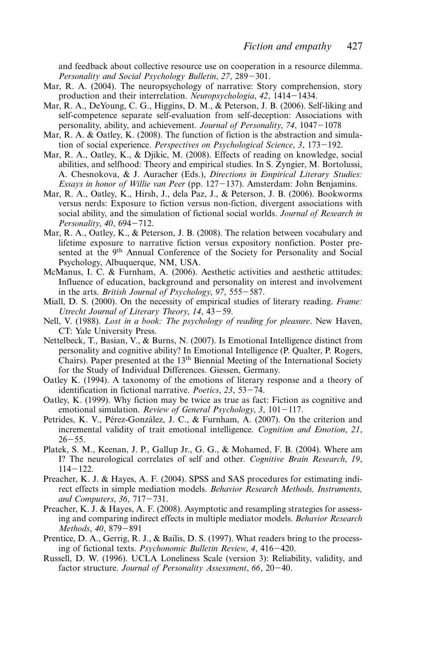and feedback about collective resource use on cooperation in a resource dilemma. *Personality and Social Psychology Bulletin*, *27*, 289-301.

- Mar, R. A. (2004). The neuropsychology of narrative: Story comprehension, story production and their interrelation. *Neuropsychologia*, *42*, 1414-1434.
- Mar, R. A., DeYoung, C. G., Higgins, D. M., & Peterson, J. B. (2006). Self-liking and self-competence separate self-evaluation from self-deception: Associations with personality, ability, and achievement. *Journal of Personality*, *74*, 1047-1078
- Mar, R. A. & Oatley, K. (2008). The function of fiction is the abstraction and simulation of social experience. *Perspectives on Psychological Science*, *3*, 173-192.
- Mar, R. A., Oatley, K., & Djikic, M. (2008). Effects of reading on knowledge, social abilities, and selfhood: Theory and empirical studies. In S. Zyngier, M. Bortolussi, A. Chesnokova, & J. Auracher (Eds.), *Directions in Empirical Literary Studies: Essays in honor of Willie van Peer* (pp. 127-137). Amsterdam: John Benjamins.
- Mar, R. A., Oatley, K., Hirsh, J., dela Paz, J., & Peterson, J. B. (2006). Bookworms versus nerds: Exposure to fiction versus non-fiction, divergent associations with social ability, and the simulation of fictional social worlds. *Journal of Research in Personality*, *40*, 694-712.
- Mar, R. A., Oatley, K., & Peterson, J. B. (2008). The relation between vocabulary and lifetime exposure to narrative fiction versus expository nonfiction. Poster presented at the 9<sup>th</sup> Annual Conference of the Society for Personality and Social Psychology, Albuquerque, NM, USA.
- McManus, I. C. & Furnham, A. (2006). Aesthetic activities and aesthetic attitudes: Influence of education, background and personality on interest and involvement in the arts. *British Journal of Psychology*, *97*, 555-587.
- Miall, D. S. (2000). On the necessity of empirical studies of literary reading. *Frame: Utrecht Journal of Literary Theory*, *14*, 43-59.
- Nell, V. (1988). *Lost in a book: The psychology of reading for pleasure*. New Haven, CT: Yale University Press.
- Nettelbeck, T., Basian, V., & Burns, N. (2007). Is Emotional Intelligence distinct from personality and cognitive ability? In Emotional Intelligence (P. Qualter, P. Rogers, Chairs). Paper presented at the  $13<sup>th</sup>$  Biennial Meeting of the International Society for the Study of Individual Differences. Giessen, Germany.
- Oatley K. (1994). A taxonomy of the emotions of literary response and a theory of identification in fictional narrative. *Poetics*, *23*, 53-74.
- Oatley, K. (1999). Why fiction may be twice as true as fact: Fiction as cognitive and emotional simulation. *Review of General Psychology*, *3*, 101-117.
- Petrides, K. V., Pérez-González, J. C.,  $\&$  Furnham, A. (2007). On the criterion and incremental validity of trait emotional intelligence. *Cognition and Emotion*, *21*,  $26 - 55$ .
- Platek, S. M., Keenan, J. P., Gallup Jr., G. G., & Mohamed, F. B. (2004). Where am I? The neurological correlates of self and other. *Cognitive Brain Research*, *19*, 114-122.
- Preacher, K. J. & Hayes, A. F. (2004). SPSS and SAS procedures for estimating indirect effects in simple mediation models. *Behavior Research Methods, Instruments, and Computers*, *36*, 717-731.
- Preacher, K. J. & Hayes, A. F. (2008). Asymptotic and resampling strategies for assessing and comparing indirect effects in multiple mediator models. *Behavior Research Methods*, *40*, 879-891
- Prentice, D. A., Gerrig, R. J., & Bailis, D. S. (1997). What readers bring to the processing of fictional texts. *Psychonomic Bulletin Review*, *4*, 416-420.
- Russell, D. W. (1996). UCLA Loneliness Scale (version 3): Reliability, validity, and factor structure. *Journal of Personality Assessment*, *66*, 20-40.